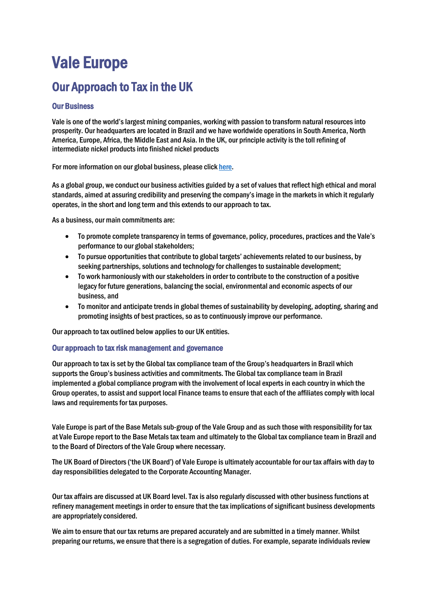# Vale Europe

## Our Approach to Tax in the UK

### Our Business

Vale is one of the world's largest mining companies, working with passion to transform natural resources into prosperity. Our headquarters are located in Brazil and we have worldwide operations in South America, North America, Europe, Africa, the Middle East and Asia. In the UK, our principle activity isthe toll refining of intermediate nickel products into finished nickel products

For more information on our global business, please clic[k here.](http://www.vale.com/EN/aboutvale/Pages/default.aspx)

As a global group, we conduct our business activities guided by a set of values that reflect high ethical and moral standards, aimed at assuring credibility and preserving the company's image in the markets in which it regularly operates, in the short and long term and this extends to our approach to tax.

As a business, our main commitments are:

- To promote complete transparency in terms of governance, policy, procedures, practices and the Vale's performance to our global stakeholders;
- To pursue opportunities that contribute to global targets' achievements related to our business, by seeking partnerships, solutions and technology for challenges to sustainable development;
- To work harmoniously with our stakeholders in order to contribute to the construction of a positive legacy for future generations, balancing the social, environmental and economic aspects of our business, and
- To monitor and anticipate trends in global themes of sustainability by developing, adopting, sharing and promoting insights of best practices, so as to continuously improve our performance.

Our approach to tax outlined below applies to our UK entities.

#### Our approach to tax risk management and governance

Our approach to tax is set by the Global tax compliance team of the Group's headquarters in Brazil which supports the Group's business activities and commitments. The Global tax compliance team in Brazil implemented a global compliance program with the involvement of local experts in each country in which the Group operates, to assist and support local Finance teams to ensure that each of the affiliates comply with local laws and requirements for tax purposes.

Vale Europe is part of the Base Metals sub-group of the Vale Group and as such those with responsibility for tax at Vale Europe report to the Base Metals tax team and ultimately to the Global tax compliance team in Brazil and to the Board of Directors of the Vale Group where necessary.

The UK Board of Directors ('the UK Board') of Vale Europe is ultimately accountable for our tax affairs with day to day responsibilities delegated to the Corporate Accounting Manager.

Our tax affairs are discussed at UK Board level. Tax is also regularly discussed with other business functions at refinery management meetings in order to ensure that the tax implications of significant business developments are appropriately considered.

We aim to ensure that our tax returns are prepared accurately and are submitted in a timely manner. Whilst preparing our returns, we ensure that there is a segregation of duties. For example, separate individuals review